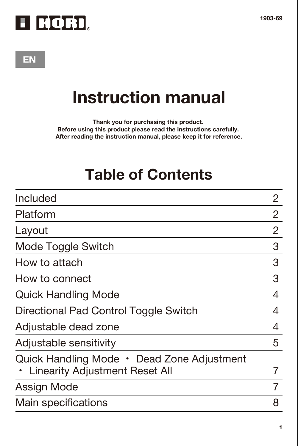

# **EN**

# **Instruction manual**

**Thank you for purchasing this product. Before using this product please read the instructions carefully. After reading the instruction manual, please keep it for reference.**

# **Table of Contents**

| Included                                                                     | 2 |
|------------------------------------------------------------------------------|---|
| Platform                                                                     | 2 |
| Layout                                                                       | 2 |
| Mode Toggle Switch                                                           | 3 |
| How to attach                                                                | 3 |
| How to connect                                                               | 3 |
| <b>Quick Handling Mode</b>                                                   | 4 |
| Directional Pad Control Toggle Switch                                        | 4 |
| Adjustable dead zone                                                         | 4 |
| Adjustable sensitivity                                                       | 5 |
| Quick Handling Mode • Dead Zone Adjustment<br>Linearity Adjustment Reset All |   |
| Assign Mode                                                                  |   |
| Main specifications                                                          | 8 |
|                                                                              |   |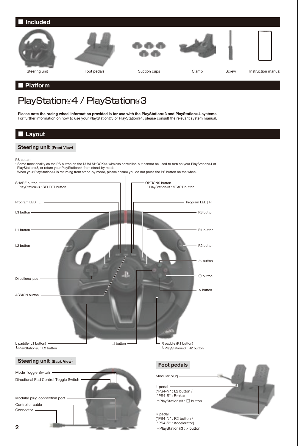

■ **Platform**

# PlayStation®4 / PlayStation®3

**Please note the racing wheel information provided is for use with the PlayStation®3 and PlayStation®4 systems.** Frease hote the racing wheel information provided is for use with the FrayStation®3 and FrayStation®4 systems.<br>For further information on how to use your PlayStation®3 or PlayStation®4, please consult the relevant system m

## ■ **Layout**

### **Steering unit (Front View)**

PS button

\* Same functionality as the PS button on the DUALSHOCK®4 wireless controller, but cannot be used to turn on your PlayStation®4 or PlayStation®3, or return your PlayStation®4 from stand-by mode.

|  | When your PlayStations4 is returning from stand-by mode, please ensure you do not press the PS button on the wheel. |
|--|---------------------------------------------------------------------------------------------------------------------|
|--|---------------------------------------------------------------------------------------------------------------------|

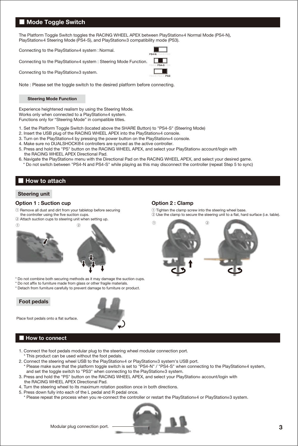## ■ **Mode Toggle Switch**

The Platform Toggle Switch toggles the RACING WHEEL APEX between PlayStation®4 Normal Mode (PS4-N), PlayStation®4 Steering Mode (PS4-S), and PlayStation®3 compatibility mode (PS3).

Connecting to the PlayStation®4 system : Normal.

Connecting to the PlayStation®4 system : Steering Mode Function.

Connecting to the PlayStation®3 system.

Note : Please set the toggle switch to the desired platform before connecting.

#### **Steering Mode Function**

Experience heightened realism by using the Steering Mode. Works only when connected to a PlayStation®4 system. Functions only for "Steering Mode" in compatible titles.

- 1. Set the Platform Toggle Switch (located above the SHARE Button) to "PS4-S" (Steering Mode)
- 2. Insert the USB plug of the RACING WHEEL APEX into the PlayStation®4 console.
- 3. Turn on the PlayStation®4 by pressing the power button on the PlayStation®4 console.
- 4. Make sure no DUALSHOCK®4 controllers are synced as the active controller.
- 5. Press and hold the "PS" button on the RACING WHEEL APEX, and select your PlayStation® account/login with the RACING WHEEL APEX Directional Pad.
- 6. Navigate the PlayStation® menu with the Directional Pad on the RACING WHEEL APEX, and select your desired game. \* Do not switch between "PS4-N and PS4-S" while playing as this may disconnect the controller (repeat Step 5 to sync)

# ■ **How to attach**

### **Steering unit**

#### **Option 1 : Suction cup**

- ① Remove all dust and dirt from your tabletop before securing the controller using the five suction cups.
- ② Attach suction cups to steering unit when setting up.



- \* Do not combine both securing methods as it may damage the suction cups.
- \* Do not affix to furniture made from glass or other fragile materials.
- \* Detach from furniture carefully to prevent damage to furniture or product.

**Foot pedals**



# Place foot pedals onto a flat surface. ■ **How to connect**

- 1. Connect the foot pedals modular plug to the steering wheel modular connection port.
- \* This product can be used without the foot pedals.
- 2. Connect the steering wheel USB to the PlayStation®4 or PlayStation®3 system's USB port.
- \* Please make sure that the platform toggle switch is set to "PS4-N" / "PS4-S" when connecting to the PlayStation®4 system, and set the toggle switch to "PS3" when connecting to the PlayStation®3 system.
- 3. Press and hold the "PS" button on the RACING WHEEL APEX, and select your PlayStation® account/login with
- the RACING WHEEL APEX Directional Pad.
- 4. Turn the steering wheel to its maximum rotation position once in both directions.
- 5. Press down fully into each of the L pedal and R pedal once.
- \* Please repeat the process when you re-connect the controller or restart the PlayStation®4 or PlayStation®3 system.



**Option 2 : Clamp**

① Tighten the clamp screw into the steering wheel base. ② Use the clamp to secure the steering unit to a flat, hard surface (i.e. table).

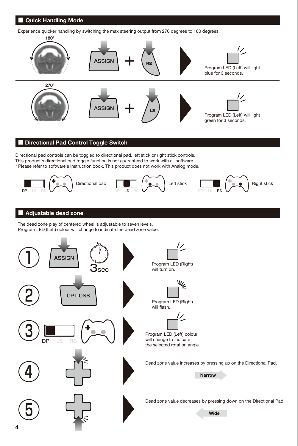# ■ **Quick Handling Mode**

Experience quicker handling by switching the max steering output from 270 degrees to 180 degrees.



# ■ Directional Pad Control Toggle Switch

Directional pad controls can be toggled to directional pad, left stick or right stick controls. This product's directional pad toggle function is not guaranteed to work with all software. \* Please refer to software's instruction book. This product does not work with Analog mode.



## ■ **Adjustable dead zone**

The dead zone play of centered wheel is adjustable to seven levels. Program LED (Left) colour will change to indicate the dead zone value.

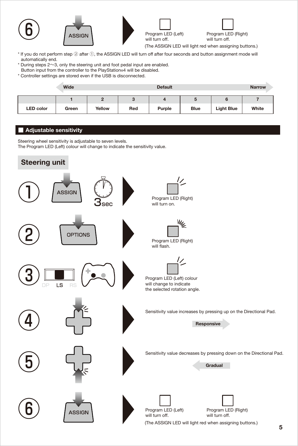

- \* If you do not perform step ② after ①, the ASSIGN LED will turn off after four seconds and button assignment mode will automatically end.
- \* During steps 2~3, only the steering unit and foot pedal input are enabled.
- Button input from the controller to the PlayStation®4 will be disabled.
- \* Controller settings are stored even if the USB is disconnected.

|                  | Wide  |        |     | Default |      |                   | <b>Narrow</b> |
|------------------|-------|--------|-----|---------|------|-------------------|---------------|
|                  |       |        |     |         | υ    |                   |               |
| <b>LED</b> color | Green | Yellow | Red | Purple  | Blue | <b>Light Blue</b> | White         |

# ■ **Adjustable sensitivity**

Steering wheel sensitivity is adjustable to seven levels.

The Program LED (Left) colour will change to indicate the sensitivity value.

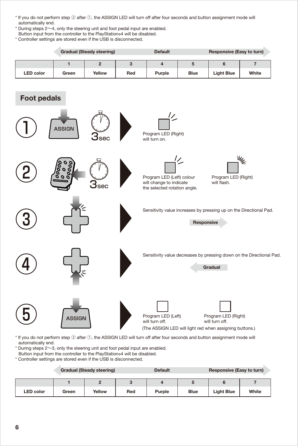- \* If you do not perform step ② after ①, the ASSIGN LED will turn off after four seconds and button assignment mode will automatically end.
- \* During steps 2~4, only the steering unit and foot pedal input are enabled. Button input from the controller to the PlayStation®4 will be disabled.
- \* Controller settings are stored even if the USB is disconnected.

|                                                                                                                                               |                | <b>Gradual (Steady steering)</b> |     | <b>Default</b>                                                                                  |            | Responsive (Easy to turn)             |                                                                     |
|-----------------------------------------------------------------------------------------------------------------------------------------------|----------------|----------------------------------|-----|-------------------------------------------------------------------------------------------------|------------|---------------------------------------|---------------------------------------------------------------------|
|                                                                                                                                               | $\overline{1}$ | $\overline{2}$                   | 3   | $\overline{4}$                                                                                  | 5          | 6                                     | $\overline{7}$                                                      |
| <b>LED</b> color                                                                                                                              | Green          | Yellow                           | Red | Purple                                                                                          | Blue       | <b>Light Blue</b>                     | White                                                               |
| <b>Foot pedals</b>                                                                                                                            |                |                                  |     |                                                                                                 |            |                                       |                                                                     |
|                                                                                                                                               | <b>ASSIGN</b>  | sec                              |     | Program LED (Right)<br>will turn on.                                                            |            |                                       |                                                                     |
|                                                                                                                                               |                | sec                              |     | Program LED (Left) colour<br>will change to indicate<br>the selected rotation angle.            | 17         | Program LED (Right)<br>will flash.    | ₩ <sub>€</sub>                                                      |
|                                                                                                                                               |                |                                  |     |                                                                                                 | Responsive |                                       | Sensitivity value increases by pressing up on the Directional Pad.  |
|                                                                                                                                               |                |                                  |     |                                                                                                 |            | Gradual                               | Sensitivity value decreases by pressing down on the Directional Pad |
|                                                                                                                                               | ASSIGN         |                                  |     | Program LED (Left)<br>will turn off.<br>(The ASSIGN LED will light red when assigning buttons.) |            | Program LED (Right)<br>will turn off. |                                                                     |
| * If you do not perform step 2 after 1, the ASSIGN LED will turn off after four seconds and button assignment mode will<br>automatically end. |                |                                  |     |                                                                                                 |            |                                       |                                                                     |

- \* During steps 2~3, only the steering unit and foot pedal input are enabled.
- Button input from the controller to the PlayStation®4 will be disabled.
- \* Controller settings are stored even if the USB is disconnected.

|                  |       | <b>Gradual (Steady steering)</b> |     | <b>Default</b> |      | Responsive (Easy to turn) |       |
|------------------|-------|----------------------------------|-----|----------------|------|---------------------------|-------|
|                  |       |                                  |     |                |      |                           |       |
| <b>LED</b> color | Green | Yellow                           | Red | Purple         | Blue | <b>Light Blue</b>         | White |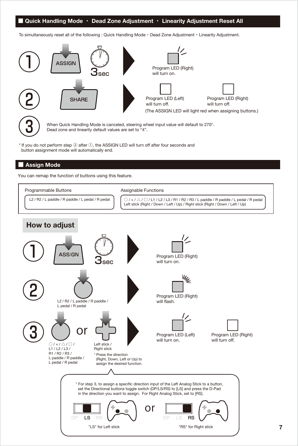## ■ **Quick Handling Mode** ・ **Dead Zone Adjustment** ・ **Linearity Adjustment Reset All**

To simultaneously reset all of the following : Quick Handling Mode ・ Dead Zone Adjustment ・ Linearity Adjustment.





When Quick Handling Mode is canceled, steering wheel input value will default to 270°. Dead zone and linearity default values are set to "4".

\* If you do not perform step ② after ①, the ASSIGN LED will turn off after four seconds and button assignment mode will automatically end.

#### ■ **Assign Mode**

You can remap the function of buttons using this feature.